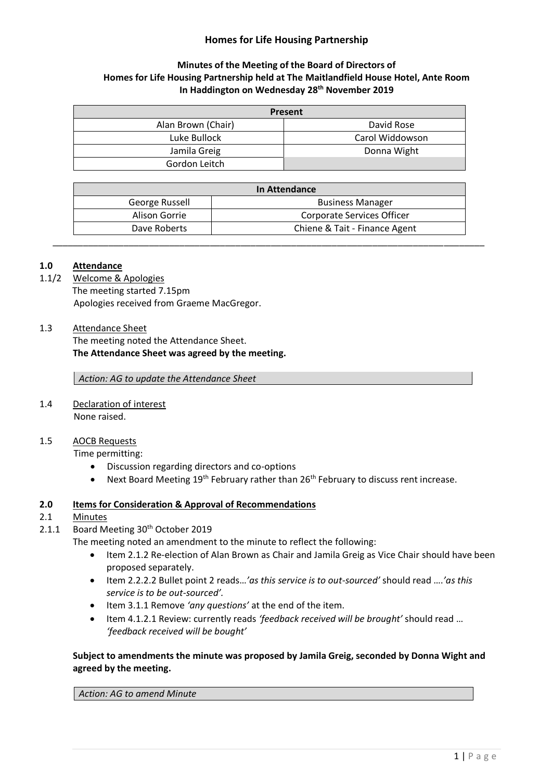# **Homes for Life Housing Partnership**

# **Minutes of the Meeting of the Board of Directors of Homes for Life Housing Partnership held at The Maitlandfield House Hotel, Ante Room In Haddington on Wednesday 28th November 2019**

| Present            |                 |
|--------------------|-----------------|
| Alan Brown (Chair) | David Rose      |
| Luke Bullock       | Carol Widdowson |
| Jamila Greig       | Donna Wight     |
| Gordon Leitch      |                 |

| <b>In Attendance</b> |                               |
|----------------------|-------------------------------|
| George Russell       | <b>Business Manager</b>       |
| Alison Gorrie        | Corporate Services Officer    |
| Dave Roberts         | Chiene & Tait - Finance Agent |

\_\_\_\_\_\_\_\_\_\_\_\_\_\_\_\_\_\_\_\_\_\_\_\_\_\_\_\_\_\_\_\_\_\_\_\_\_\_\_\_\_\_\_\_\_\_\_\_\_\_\_\_\_\_\_\_\_\_\_\_\_\_\_\_\_\_\_\_\_\_\_\_\_\_\_\_\_\_\_\_\_\_\_\_\_

### **1.0 Attendance**

- 1.1/2 Welcome & Apologies The meeting started 7.15pm Apologies received from Graeme MacGregor.
- 1.3 Attendance Sheet The meeting noted the Attendance Sheet. **The Attendance Sheet was agreed by the meeting.**

*Action: AG to update the Attendance Sheet*

1.4 Declaration of interest None raised.

#### 1.5 AOCB Requests

Time permitting:

- Discussion regarding directors and co-options
- Next Board Meeting  $19<sup>th</sup>$  February rather than  $26<sup>th</sup>$  February to discuss rent increase.

#### **2.0 Items for Consideration & Approval of Recommendations**

#### 2.1 Minutes

2.1.1 Board Meeting 30<sup>th</sup> October 2019

The meeting noted an amendment to the minute to reflect the following:

- Item 2.1.2 Re-election of Alan Brown as Chair and Jamila Greig as Vice Chair should have been proposed separately.
- Item 2.2.2.2 Bullet point 2 reads…*'as this service is to out-sourced'* should read ….*'as this service is to be out-sourced'.*
- Item 3.1.1 Remove *'any questions'* at the end of the item.
- Item 4.1.2.1 Review: currently reads *'feedback received will be brought'* should read … *'feedback received will be bought'*

# **Subject to amendments the minute was proposed by Jamila Greig, seconded by Donna Wight and agreed by the meeting.**

*Action: AG to amend Minute*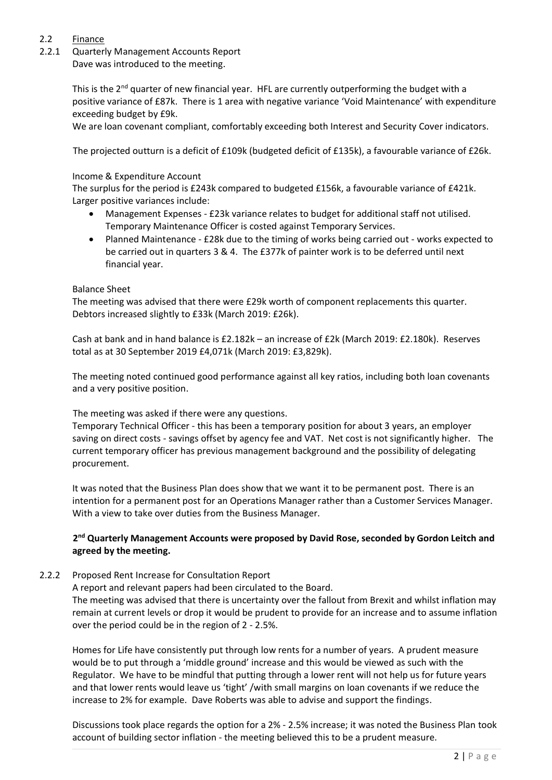# 2.2 Finance

2.2.1 Quarterly Management Accounts Report

Dave was introduced to the meeting.

This is the 2<sup>nd</sup> quarter of new financial year. HFL are currently outperforming the budget with a positive variance of £87k. There is 1 area with negative variance 'Void Maintenance' with expenditure exceeding budget by £9k.

We are loan covenant compliant, comfortably exceeding both Interest and Security Cover indicators.

The projected outturn is a deficit of £109k (budgeted deficit of £135k), a favourable variance of £26k.

#### Income & Expenditure Account

The surplus for the period is £243k compared to budgeted £156k, a favourable variance of £421k. Larger positive variances include:

- Management Expenses £23k variance relates to budget for additional staff not utilised. Temporary Maintenance Officer is costed against Temporary Services.
- Planned Maintenance £28k due to the timing of works being carried out works expected to be carried out in quarters 3 & 4. The £377k of painter work is to be deferred until next financial year.

#### Balance Sheet

The meeting was advised that there were £29k worth of component replacements this quarter. Debtors increased slightly to £33k (March 2019: £26k).

Cash at bank and in hand balance is £2.182k – an increase of £2k (March 2019: £2.180k). Reserves total as at 30 September 2019 £4,071k (March 2019: £3,829k).

The meeting noted continued good performance against all key ratios, including both loan covenants and a very positive position.

The meeting was asked if there were any questions.

Temporary Technical Officer - this has been a temporary position for about 3 years, an employer saving on direct costs - savings offset by agency fee and VAT. Net cost is not significantly higher. The current temporary officer has previous management background and the possibility of delegating procurement.

It was noted that the Business Plan does show that we want it to be permanent post. There is an intention for a permanent post for an Operations Manager rather than a Customer Services Manager. With a view to take over duties from the Business Manager.

# **2 nd Quarterly Management Accounts were proposed by David Rose, seconded by Gordon Leitch and agreed by the meeting.**

# 2.2.2 Proposed Rent Increase for Consultation Report

A report and relevant papers had been circulated to the Board.

The meeting was advised that there is uncertainty over the fallout from Brexit and whilst inflation may remain at current levels or drop it would be prudent to provide for an increase and to assume inflation over the period could be in the region of 2 - 2.5%.

Homes for Life have consistently put through low rents for a number of years. A prudent measure would be to put through a 'middle ground' increase and this would be viewed as such with the Regulator. We have to be mindful that putting through a lower rent will not help us for future years and that lower rents would leave us 'tight' /with small margins on loan covenants if we reduce the increase to 2% for example. Dave Roberts was able to advise and support the findings.

Discussions took place regards the option for a 2% - 2.5% increase; it was noted the Business Plan took account of building sector inflation - the meeting believed this to be a prudent measure.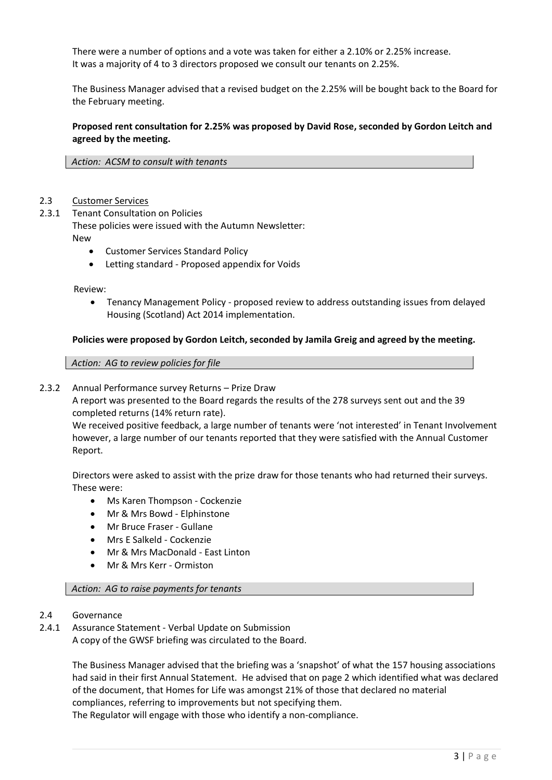There were a number of options and a vote was taken for either a 2.10% or 2.25% increase. It was a majority of 4 to 3 directors proposed we consult our tenants on 2.25%.

The Business Manager advised that a revised budget on the 2.25% will be bought back to the Board for the February meeting.

**Proposed rent consultation for 2.25% was proposed by David Rose, seconded by Gordon Leitch and agreed by the meeting.**

*Action: ACSM to consult with tenants*

#### 2.3 Customer Services

2.3.1 Tenant Consultation on Policies

These policies were issued with the Autumn Newsletter: New

- Customer Services Standard Policy
- Letting standard Proposed appendix for Voids

Review:

• Tenancy Management Policy - proposed review to address outstanding issues from delayed Housing (Scotland) Act 2014 implementation.

#### **Policies were proposed by Gordon Leitch, seconded by Jamila Greig and agreed by the meeting.**

*Action: AG to review policies for file*

2.3.2 Annual Performance survey Returns – Prize Draw

A report was presented to the Board regards the results of the 278 surveys sent out and the 39 completed returns (14% return rate).

We received positive feedback, a large number of tenants were 'not interested' in Tenant Involvement however, a large number of our tenants reported that they were satisfied with the Annual Customer Report.

Directors were asked to assist with the prize draw for those tenants who had returned their surveys. These were:

- Ms Karen Thompson Cockenzie
- Mr & Mrs Bowd Elphinstone
- Mr Bruce Fraser Gullane
- Mrs E Salkeld Cockenzie
- Mr & Mrs MacDonald East Linton
- Mr & Mrs Kerr Ormiston

#### *Action: AG to raise payments for tenants*

- 2.4 Governance
- 2.4.1 Assurance Statement Verbal Update on Submission A copy of the GWSF briefing was circulated to the Board.

The Business Manager advised that the briefing was a 'snapshot' of what the 157 housing associations had said in their first Annual Statement. He advised that on page 2 which identified what was declared of the document, that Homes for Life was amongst 21% of those that declared no material compliances, referring to improvements but not specifying them. The Regulator will engage with those who identify a non-compliance.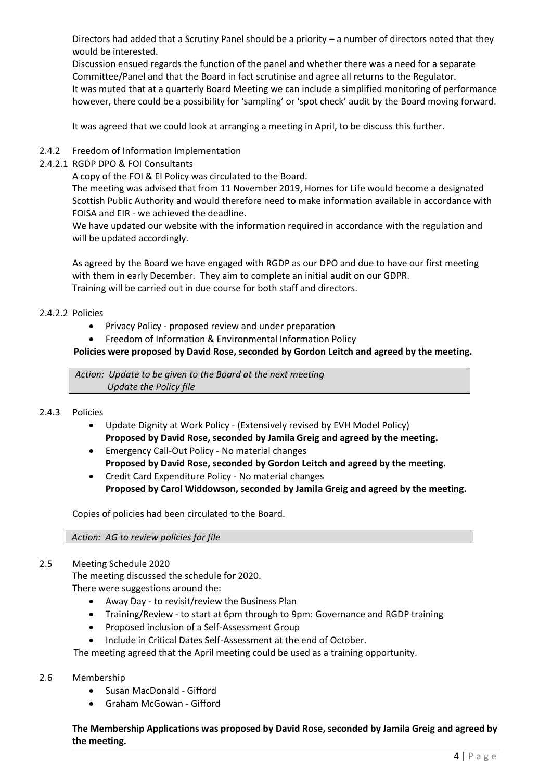Directors had added that a Scrutiny Panel should be a priority – a number of directors noted that they would be interested.

Discussion ensued regards the function of the panel and whether there was a need for a separate Committee/Panel and that the Board in fact scrutinise and agree all returns to the Regulator. It was muted that at a quarterly Board Meeting we can include a simplified monitoring of performance however, there could be a possibility for 'sampling' or 'spot check' audit by the Board moving forward.

It was agreed that we could look at arranging a meeting in April, to be discuss this further.

### 2.4.2 Freedom of Information Implementation

2.4.2.1 RGDP DPO & FOI Consultants

A copy of the FOI & EI Policy was circulated to the Board.

The meeting was advised that from 11 November 2019, Homes for Life would become a designated Scottish Public Authority and would therefore need to make information available in accordance with FOISA and EIR - we achieved the deadline.

We have updated our website with the information required in accordance with the regulation and will be updated accordingly.

As agreed by the Board we have engaged with RGDP as our DPO and due to have our first meeting with them in early December. They aim to complete an initial audit on our GDPR. Training will be carried out in due course for both staff and directors.

#### 2.4.2.2 Policies

- Privacy Policy proposed review and under preparation
- Freedom of Information & Environmental Information Policy

### **Policies were proposed by David Rose, seconded by Gordon Leitch and agreed by the meeting.**

*Action: Update to be given to the Board at the next meeting Update the Policy file*

#### 2.4.3 Policies

- Update Dignity at Work Policy (Extensively revised by EVH Model Policy) **Proposed by David Rose, seconded by Jamila Greig and agreed by the meeting.**
- Emergency Call-Out Policy No material changes **Proposed by David Rose, seconded by Gordon Leitch and agreed by the meeting.**
- Credit Card Expenditure Policy No material changes **Proposed by Carol Widdowson, seconded by Jamila Greig and agreed by the meeting.**

Copies of policies had been circulated to the Board.

#### *Action: AG to review policies for file*

#### 2.5 Meeting Schedule 2020

The meeting discussed the schedule for 2020.

There were suggestions around the:

- Away Day to revisit/review the Business Plan
- Training/Review to start at 6pm through to 9pm: Governance and RGDP training
- Proposed inclusion of a Self-Assessment Group
- Include in Critical Dates Self-Assessment at the end of October.

The meeting agreed that the April meeting could be used as a training opportunity.

#### 2.6 Membership

- Susan MacDonald Gifford
- Graham McGowan Gifford

**The Membership Applications was proposed by David Rose, seconded by Jamila Greig and agreed by the meeting.**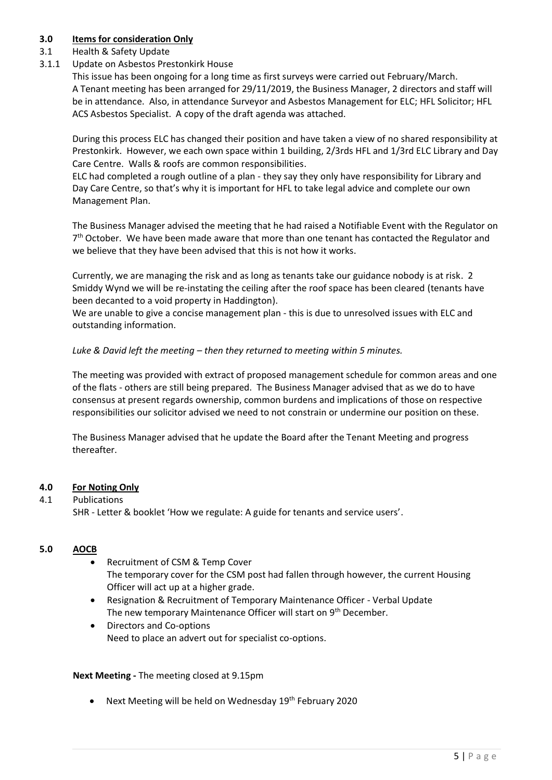# **3.0 Items for consideration Only**

# 3.1 Health & Safety Update

3.1.1 Update on Asbestos Prestonkirk House

This issue has been ongoing for a long time as first surveys were carried out February/March. A Tenant meeting has been arranged for 29/11/2019, the Business Manager, 2 directors and staff will be in attendance. Also, in attendance Surveyor and Asbestos Management for ELC; HFL Solicitor; HFL ACS Asbestos Specialist. A copy of the draft agenda was attached.

During this process ELC has changed their position and have taken a view of no shared responsibility at Prestonkirk. However, we each own space within 1 building, 2/3rds HFL and 1/3rd ELC Library and Day Care Centre. Walls & roofs are common responsibilities.

ELC had completed a rough outline of a plan - they say they only have responsibility for Library and Day Care Centre, so that's why it is important for HFL to take legal advice and complete our own Management Plan.

The Business Manager advised the meeting that he had raised a Notifiable Event with the Regulator on 7<sup>th</sup> October. We have been made aware that more than one tenant has contacted the Regulator and we believe that they have been advised that this is not how it works.

Currently, we are managing the risk and as long as tenants take our guidance nobody is at risk. 2 Smiddy Wynd we will be re-instating the ceiling after the roof space has been cleared (tenants have been decanted to a void property in Haddington).

We are unable to give a concise management plan - this is due to unresolved issues with ELC and outstanding information.

*Luke & David left the meeting – then they returned to meeting within 5 minutes.*

The meeting was provided with extract of proposed management schedule for common areas and one of the flats - others are still being prepared. The Business Manager advised that as we do to have consensus at present regards ownership, common burdens and implications of those on respective responsibilities our solicitor advised we need to not constrain or undermine our position on these.

The Business Manager advised that he update the Board after the Tenant Meeting and progress thereafter.

# **4.0 For Noting Only**

# 4.1 Publications

SHR - Letter & booklet 'How we regulate: A guide for tenants and service users'.

# **5.0 AOCB**

- Recruitment of CSM & Temp Cover The temporary cover for the CSM post had fallen through however, the current Housing Officer will act up at a higher grade.
- Resignation & Recruitment of Temporary Maintenance Officer Verbal Update The new temporary Maintenance Officer will start on 9<sup>th</sup> December.
- Directors and Co-options Need to place an advert out for specialist co-options.

# **Next Meeting -** The meeting closed at 9.15pm

• Next Meeting will be held on Wednesday 19<sup>th</sup> February 2020